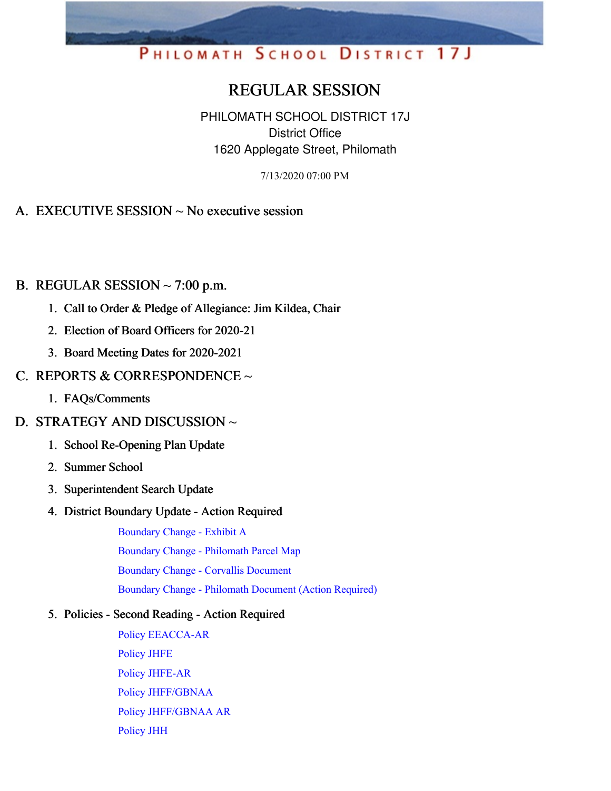# PHILOMATH SCHOOL DISTRICT 17J

# REGULAR SESSION

PHILOMATH SCHOOL DISTRICT 17J District Office 1620 Applegate Street, Philomath

7/13/2020 07:00 PM

#### A. EXECUTIVE SESSION ~ No executive session

#### B. REGULAR SESSION  $\sim$  7:00 p.m.

- 1. Call to Order & Pledge of Allegiance: Jim Kildea, Chair
- 2. Election of Board Officers for 2020-21
- 3. Board Meeting Dates for 2020-2021

#### C. REPORTS & CORRESPONDENCE  $\sim$

- 1. FAQs/Comments
- D. STRATEGY AND DISCUSSION ~
	- 1. School Re-Opening Plan Update
	- 2. Summer School
	- 3. Superintendent Search Update
	- 4. District Boundary Update Action Required

[Boundary](https://app.eduportal.com/documents/view/759849) Change - Exhibit A Boundary Change - [Philomath](https://app.eduportal.com/documents/view/759848) Parcel Map Boundary Change - Corvallis [Document](https://app.eduportal.com/documents/view/759846) Boundary Change - Philomath [Document](https://app.eduportal.com/documents/view/760220) (Action Required)

#### 5. Policies - Second Reading - Action Required

Policy [EEACCA-AR](https://app.eduportal.com/documents/view/760265) [Policy](https://app.eduportal.com/documents/view/760068) JHFE Policy [JHFE-AR](https://app.eduportal.com/documents/view/760271) Policy [JHFF/GBNAA](https://app.eduportal.com/documents/view/760071) Policy [JHFF/GBNAA](https://app.eduportal.com/documents/view/760272) AR [Policy](https://app.eduportal.com/documents/view/760070) JHH